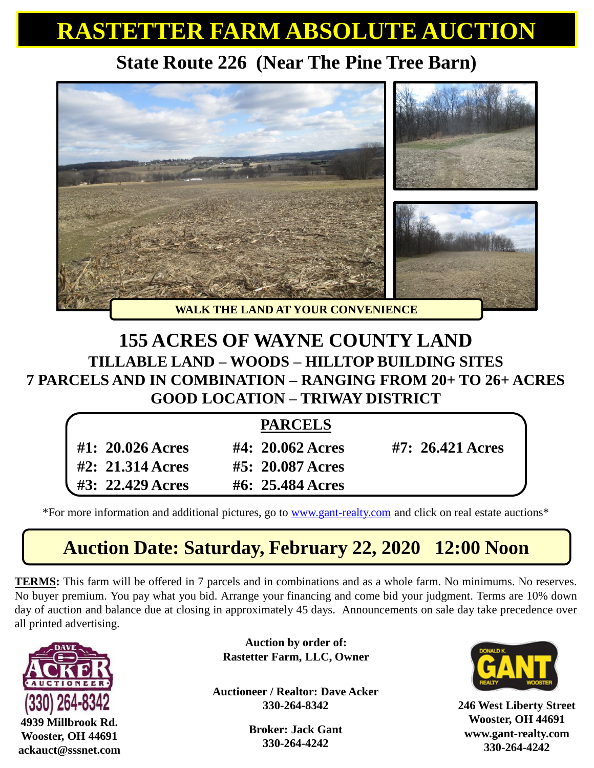## **RASTETTER FARM ABSOLUTE AUCTION**

### **State Route 226 (Near The Pine Tree Barn)**



#### **155 ACRES OF WAYNE COUNTY LAND TILLABLE LAND – WOODS – HILLTOP BUILDING SITES 7 PARCELS AND IN COMBINATION – RANGING FROM 20+ TO 26+ ACRES GOOD LOCATION – TRIWAY DISTRICT**

|                                                         | <b>PARCELS</b>                 |                           |
|---------------------------------------------------------|--------------------------------|---------------------------|
| $#1: 20.026 \,\mathrm{A}$ cres                          | $#4: 20.062 \,\mathrm{A}$ cres | $#7: 26.421 \,\mathrm{A}$ |
| $#2: 21.314 \,\mathrm{A} \, \mathrm{c} \, \mathrm{res}$ | $#5: 20.087 \,\mathrm{A}$      |                           |
| #3: 22.429 Acres                                        | #6: $25.484$ Acres             |                           |

\*For more information and additional pictures, go to [www.gant-realty.com](http://www.gant-realty.com/) and click on real estate auctions\*

## **Auction Date: Saturday, February 22, 2020 12:00 Noon**

**TERMS:** This farm will be offered in 7 parcels and in combinations and as a whole farm. No minimums. No reserves. No buyer premium. You pay what you bid. Arrange your financing and come bid your judgment. Terms are 10% down day of auction and balance due at closing in approximately 45 days. Announcements on sale day take precedence over all printed advertising.



**Wooster, OH 44691 ackauct@sssnet.com**

**Auction by order of: Rastetter Farm, LLC, Owner**

**Auctioneer / Realtor: Dave Acker 330-264-8342**

> **Broker: Jack Gant 330-264-4242**



**246 West Liberty Street Wooster, OH 44691 www.gant-realty.com 330-264-4242**